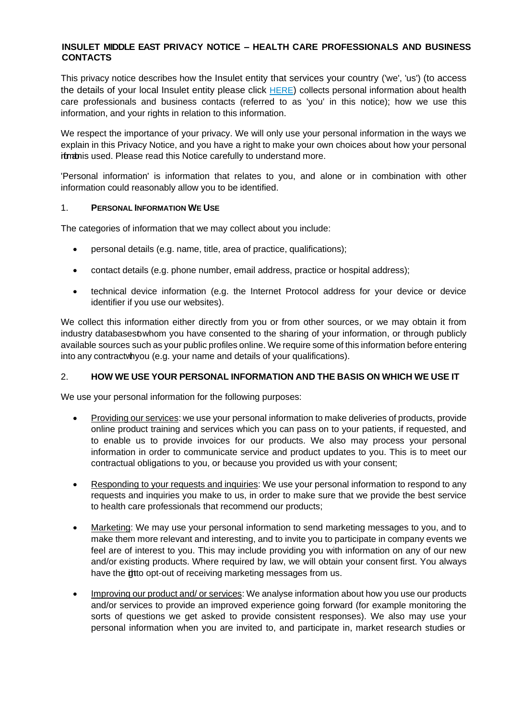#### **INSULET MIDDLE EAST PRIVACY NOTICE – HEALTH CARE PROFESSIONALS AND BUSINESS CONTACTS**

This privacy notice describes how the Insulet entity that services your country ('we', 'us') (to access the details of your local Insulet entity please click [HERE](https://www.omnipod.com/sites/default/files/Controllers_info_All_countries_V3.pdf)) collects personal information about health care professionals and business contacts (referred to as 'you' in this notice); how we use this information, and your rights in relation to this information.

We respect the importance of your privacy. We will only use your personal information in the ways we explain in this Privacy Notice, and you have a right to make your own choices about how your personal itmathis used. Please read this Notice carefully to understand more.

'Personal information' is information that relates to you, and alone or in combination with other information could reasonably allow you to be identified.

#### 1. **PERSONAL INFORMATION WE USE**

The categories of information that we may collect about you include:

- personal details (e.g. name, title, area of practice, qualifications);
- contact details (e.g. phone number, email address, practice or hospital address);
- technical device information (e.g. the Internet Protocol address for your device or device identifier if you use our websites).

We collect this information either directly from you or from other sources, or we may obtain it from industry databasestowhom you have consented to the sharing of your information, or through publicly available sources such as your public profiles online. We require some of this information before entering into any contractwhyou (e.g. your name and details of your qualifications).

### 2. **HOW WE USE YOUR PERSONAL INFORMATION AND THE BASIS ON WHICH WE USE IT**

We use your personal information for the following purposes:

- Providing our services: we use your personal information to make deliveries of products, provide online product training and services which you can pass on to your patients, if requested, and to enable us to provide invoices for our products. We also may process your personal information in order to communicate service and product updates to you. This is to meet our contractual obligations to you, or because you provided us with your consent;
- Responding to your requests and inquiries: We use your personal information to respond to any requests and inquiries you make to us, in order to make sure that we provide the best service to health care professionals that recommend our products;
- Marketing: We may use your personal information to send marketing messages to you, and to make them more relevant and interesting, and to invite you to participate in company events we feel are of interest to you. This may include providing you with information on any of our new and/or existing products. Where required by law, we will obtain your consent first. You always have the **it**to opt-out of receiving marketing messages from us.
- Improving our product and/ or services: We analyse information about how you use our products and/or services to provide an improved experience going forward (for example monitoring the sorts of questions we get asked to provide consistent responses). We also may use your personal information when you are invited to, and participate in, market research studies or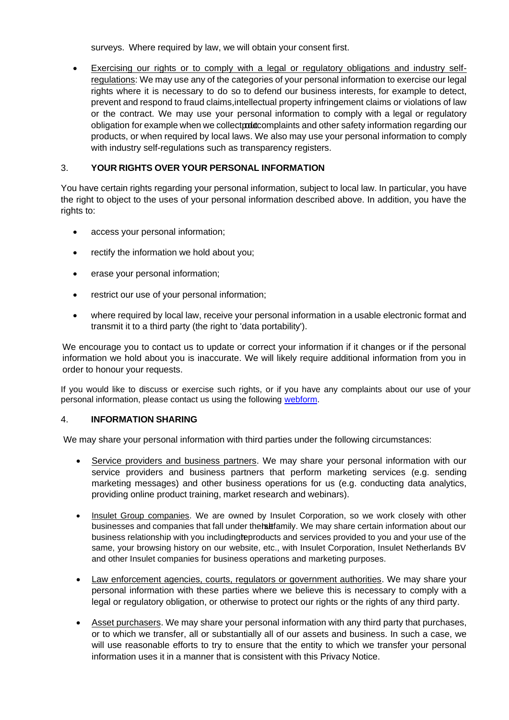surveys. Where required by law, we will obtain your consent first.

• Exercising our rights or to comply with a legal or regulatory obligations and industry selfregulations: We may use any of the categories of your personal information to exercise our legal rights where it is necessary to do so to defend our business interests, for example to detect, prevent and respond to fraud claims,intellectual property infringement claims or violations of law or the contract. We may use your personal information to comply with a legal or regulatory obligation for example when we collectproducomplaints and other safety information regarding our products, or when required by local laws. We also may use your personal information to comply with industry self-regulations such as transparency registers.

# 3. **YOUR RIGHTS OVER YOUR PERSONAL INFORMATION**

You have certain rights regarding your personal information, subject to local law. In particular, you have the right to object to the uses of your personal information described above. In addition, you have the rights to:

- access your personal information;
- rectify the information we hold about you;
- erase your personal information;
- restrict our use of your personal information;
- where required by local law, receive your personal information in a usable electronic format and transmit it to a third party (the right to 'data portability').

We encourage you to contact us to update or correct your information if it changes or if the personal information we hold about you is inaccurate. We will likely require additional information from you in order to honour your requests.

If you would like to discuss or exercise such rights, or if you have any complaints about our use of your personal information, please contact us using the following [webform.](https://privacyportal-de.onetrust.com/webform/7796d4e4-991f-4718-8896-8a9026be84d9/a1575c07-4510-4639-a964-08f10fb97506)

### 4. **INFORMATION SHARING**

We may share your personal information with third parties under the following circumstances:

- Service providers and business partners. We may share your personal information with our service providers and business partners that perform marketing services (e.g. sending marketing messages) and other business operations for us (e.g. conducting data analytics, providing online product training, market research and webinars).
- Insulet Group companies. We are owned by Insulet Corporation, so we work closely with other businesses and companies that fall under the halfamily. We may share certain information about our business relationship with you includingteproducts and services provided to you and your use of the same, your browsing history on our website, etc., with Insulet Corporation, Insulet Netherlands BV and other Insulet companies for business operations and marketing purposes.
- Law enforcement agencies, courts, regulators or government authorities. We may share your personal information with these parties where we believe this is necessary to comply with a legal or regulatory obligation, or otherwise to protect our rights or the rights of any third party.
- Asset purchasers. We may share your personal information with any third party that purchases, or to which we transfer, all or substantially all of our assets and business. In such a case, we will use reasonable efforts to try to ensure that the entity to which we transfer your personal information uses it in a manner that is consistent with this Privacy Notice.